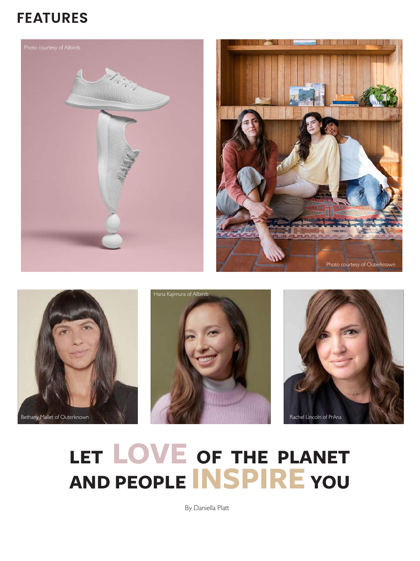## **FEATURES**









# **LET LOVE OF THE PLANET AND PEOPLE INSPIRE YOU**

By Daniella Platt